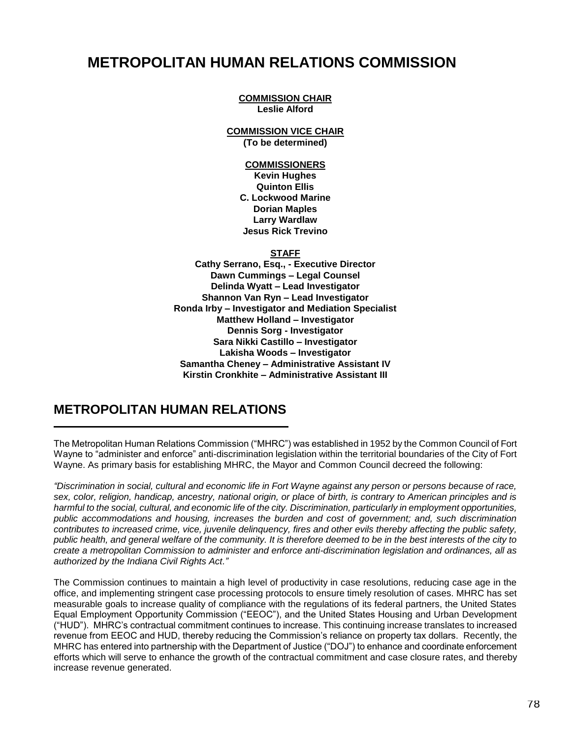# **METROPOLITAN HUMAN RELATIONS COMMISSION**

**COMMISSION CHAIR Leslie Alford**

**COMMISSION VICE CHAIR (To be determined)**

### **COMMISSIONERS**

**Kevin Hughes Quinton Ellis C. Lockwood Marine Dorian Maples Larry Wardlaw Jesus Rick Trevino**

**STAFF**

**Cathy Serrano, Esq., - Executive Director Dawn Cummings – Legal Counsel Delinda Wyatt – Lead Investigator Shannon Van Ryn – Lead Investigator Ronda Irby – Investigator and Mediation Specialist Matthew Holland – Investigator Dennis Sorg - Investigator Sara Nikki Castillo – Investigator Lakisha Woods – Investigator Samantha Cheney – Administrative Assistant IV Kirstin Cronkhite – Administrative Assistant III**

## **METROPOLITAN HUMAN RELATIONS**

The Metropolitan Human Relations Commission ("MHRC") was established in 1952 by the Common Council of Fort Wayne to "administer and enforce" anti-discrimination legislation within the territorial boundaries of the City of Fort Wayne. As primary basis for establishing MHRC, the Mayor and Common Council decreed the following:

*"Discrimination in social, cultural and economic life in Fort Wayne against any person or persons because of race, sex, color, religion, handicap, ancestry, national origin, or place of birth, is contrary to American principles and is harmful to the social, cultural, and economic life of the city. Discrimination, particularly in employment opportunities, public accommodations and housing, increases the burden and cost of government; and, such discrimination contributes to increased crime, vice, juvenile delinquency, fires and other evils thereby affecting the public safety, public health, and general welfare of the community. It is therefore deemed to be in the best interests of the city to create a metropolitan Commission to administer and enforce anti-discrimination legislation and ordinances, all as authorized by the Indiana Civil Rights Act."*

The Commission continues to maintain a high level of productivity in case resolutions, reducing case age in the office, and implementing stringent case processing protocols to ensure timely resolution of cases. MHRC has set measurable goals to increase quality of compliance with the regulations of its federal partners, the United States Equal Employment Opportunity Commission ("EEOC"), and the United States Housing and Urban Development ("HUD"). MHRC's contractual commitment continues to increase. This continuing increase translates to increased revenue from EEOC and HUD, thereby reducing the Commission's reliance on property tax dollars. Recently, the MHRC has entered into partnership with the Department of Justice ("DOJ") to enhance and coordinate enforcement efforts which will serve to enhance the growth of the contractual commitment and case closure rates, and thereby increase revenue generated.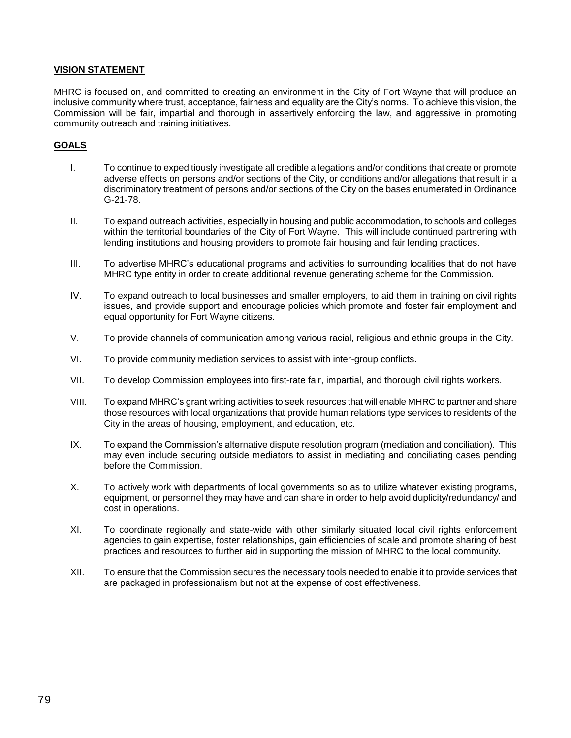### **VISION STATEMENT**

MHRC is focused on, and committed to creating an environment in the City of Fort Wayne that will produce an inclusive community where trust, acceptance, fairness and equality are the City's norms. To achieve this vision, the Commission will be fair, impartial and thorough in assertively enforcing the law, and aggressive in promoting community outreach and training initiatives.

### **GOALS**

- I. To continue to expeditiously investigate all credible allegations and/or conditions that create or promote adverse effects on persons and/or sections of the City, or conditions and/or allegations that result in a discriminatory treatment of persons and/or sections of the City on the bases enumerated in Ordinance G-21-78.
- II. To expand outreach activities, especially in housing and public accommodation, to schools and colleges within the territorial boundaries of the City of Fort Wayne. This will include continued partnering with lending institutions and housing providers to promote fair housing and fair lending practices.
- III. To advertise MHRC's educational programs and activities to surrounding localities that do not have MHRC type entity in order to create additional revenue generating scheme for the Commission.
- IV. To expand outreach to local businesses and smaller employers, to aid them in training on civil rights issues, and provide support and encourage policies which promote and foster fair employment and equal opportunity for Fort Wayne citizens.
- V. To provide channels of communication among various racial, religious and ethnic groups in the City.
- VI. To provide community mediation services to assist with inter-group conflicts.
- VII. To develop Commission employees into first-rate fair, impartial, and thorough civil rights workers.
- VIII. To expand MHRC's grant writing activities to seek resources that will enable MHRC to partner and share those resources with local organizations that provide human relations type services to residents of the City in the areas of housing, employment, and education, etc.
- IX. To expand the Commission's alternative dispute resolution program (mediation and conciliation). This may even include securing outside mediators to assist in mediating and conciliating cases pending before the Commission.
- X. To actively work with departments of local governments so as to utilize whatever existing programs, equipment, or personnel they may have and can share in order to help avoid duplicity/redundancy/ and cost in operations.
- XI. To coordinate regionally and state-wide with other similarly situated local civil rights enforcement agencies to gain expertise, foster relationships, gain efficiencies of scale and promote sharing of best practices and resources to further aid in supporting the mission of MHRC to the local community.
- XII. To ensure that the Commission secures the necessary tools needed to enable it to provide services that are packaged in professionalism but not at the expense of cost effectiveness.